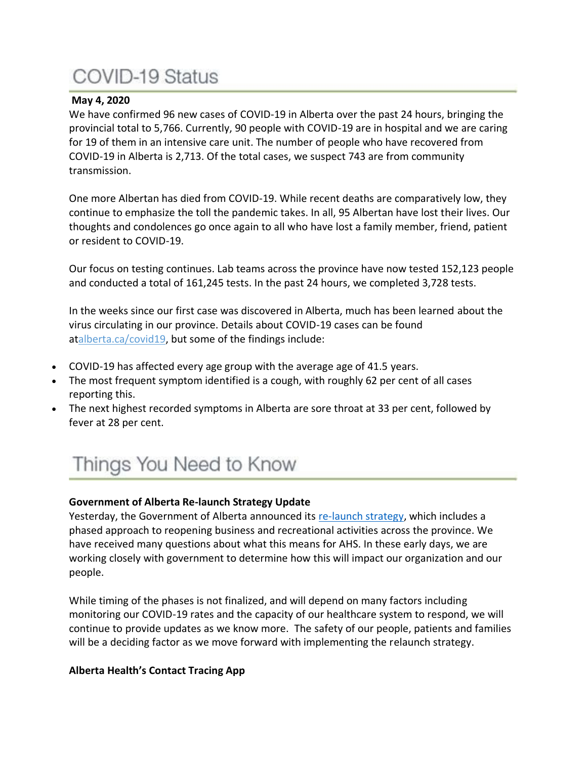# COVID-19 Status

## **May 4, 2020**

We have confirmed 96 new cases of COVID-19 in Alberta over the past 24 hours, bringing the provincial total to 5,766. Currently, 90 people with COVID-19 are in hospital and we are caring for 19 of them in an intensive care unit. The number of people who have recovered from COVID-19 in Alberta is 2,713. Of the total cases, we suspect 743 are from community transmission.

One more Albertan has died from COVID-19. While recent deaths are comparatively low, they continue to emphasize the toll the pandemic takes. In all, 95 Albertan have lost their lives. Our thoughts and condolences go once again to all who have lost a family member, friend, patient or resident to COVID-19.

Our focus on testing continues. Lab teams across the province have now tested 152,123 people and conducted a total of 161,245 tests. In the past 24 hours, we completed 3,728 tests.

In the weeks since our first case was discovered in Alberta, much has been learned about the virus circulating in our province. Details about COVID-19 cases can be found a[talberta.ca/covid19,](http://www.alberta.ca/covid19) but some of the findings include:

- COVID-19 has affected every age group with the average age of 41.5 years.
- The most frequent symptom identified is a cough, with roughly 62 per cent of all cases reporting this.
- The next highest recorded symptoms in Alberta are sore throat at 33 per cent, followed by fever at 28 per cent.

## Things You Need to Know

## **Government of Alberta Re-launch Strategy Update**

Yesterday, the Government of Alberta announced its [re-launch strategy,](https://www.alberta.ca/release.cfm?xID=70217037B8E9C-C319-32CC-240D33487895E4F7) which includes a phased approach to reopening business and recreational activities across the province. We have received many questions about what this means for AHS. In these early days, we are working closely with government to determine how this will impact our organization and our people.

While timing of the phases is not finalized, and will depend on many factors including monitoring our COVID-19 rates and the capacity of our healthcare system to respond, we will continue to provide updates as we know more. The safety of our people, patients and families will be a deciding factor as we move forward with implementing the relaunch strategy.

## **Alberta Health's Contact Tracing App**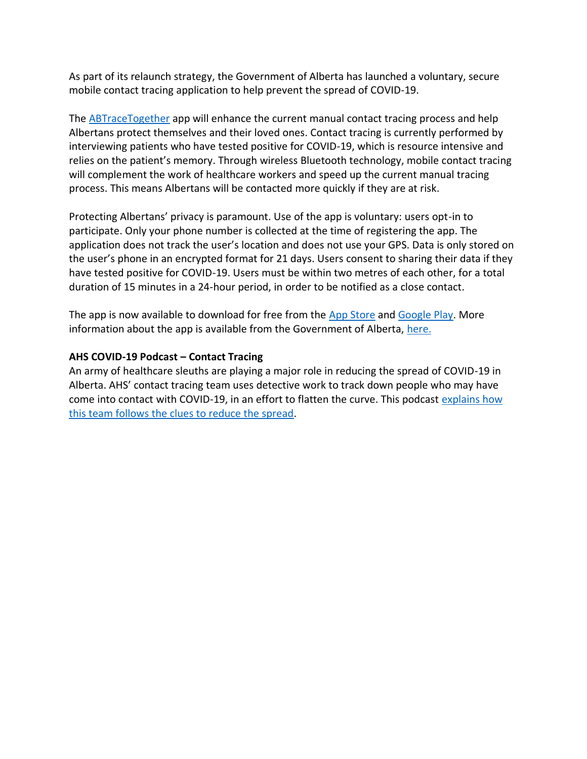As part of its relaunch strategy, the Government of Alberta has launched a voluntary, secure mobile contact tracing application to help prevent the spread of COVID-19.

The [ABTraceTogether](https://www.alberta.ca/ab-trace-together.aspx) app will enhance the current manual contact tracing process and help Albertans protect themselves and their loved ones. Contact tracing is currently performed by interviewing patients who have tested positive for COVID-19, which is resource intensive and relies on the patient's memory. Through wireless Bluetooth technology, mobile contact tracing will complement the work of healthcare workers and speed up the current manual tracing process. This means Albertans will be contacted more quickly if they are at risk.

Protecting Albertans' privacy is paramount. Use of the app is voluntary: users opt-in to participate. Only your phone number is collected at the time of registering the app. The application does not track the user's location and does not use your GPS. Data is only stored on the user's phone in an encrypted format for 21 days. Users consent to sharing their data if they have tested positive for COVID-19. Users must be within two metres of each other, for a total duration of 15 minutes in a 24-hour period, in order to be notified as a close contact.

The app is now available to download for free from the [App Store](https://apps.apple.com/us/app/abtracetogether/id1508213665?ls=1%20) and [Google Play.](https://play.google.com/store/apps/details?id=ca.albertahealthservices.contacttracing) More information about the app is available from the Government of Alberta, [here.](https://www.alberta.ca/ab-trace-together.aspx)

## **AHS COVID-19 Podcast – Contact Tracing**

An army of healthcare sleuths are playing a major role in reducing the spread of COVID-19 in Alberta. AHS' contact tracing team uses detective work to track down people who may have come into contact with COVID-19, in an effort to flatten the curve. This podcast [explains how](https://www.albertahealthservices.ca/topics/Page17109.aspx)  [this team follows the clues to reduce the spread.](https://www.albertahealthservices.ca/topics/Page17109.aspx)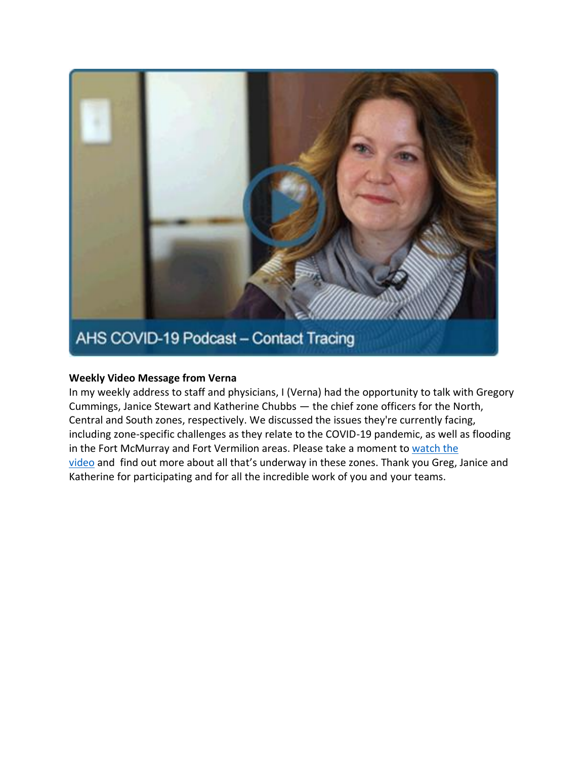

### **Weekly Video Message from Verna**

In my weekly address to staff and physicians, I (Verna) had the opportunity to talk with Gregory Cummings, Janice Stewart and Katherine Chubbs — the chief zone officers for the North, Central and South zones, respectively. We discussed the issues they're currently facing, including zone-specific challenges as they relate to the COVID-19 pandemic, as well as flooding in the Fort McMurray and Fort Vermilion areas. Please take a moment to [watch the](https://www.albertahealthservices.ca/topics/Page17110.aspx)  [video](https://www.albertahealthservices.ca/topics/Page17110.aspx) and find out more about all that's underway in these zones. Thank you Greg, Janice and Katherine for participating and for all the incredible work of you and your teams.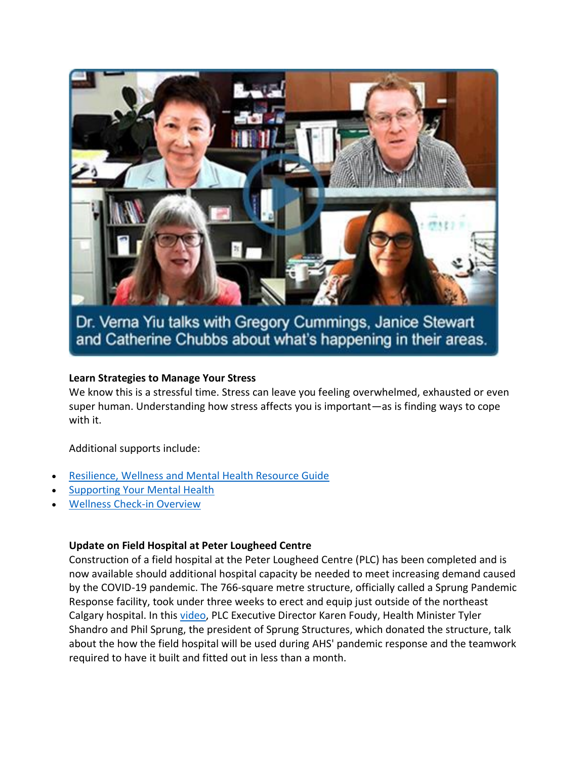

### **Learn Strategies to Manage Your Stress**

We know this is a stressful time. Stress can leave you feeling overwhelmed, exhausted or even super human. Understanding how stress affects you is important—as is finding ways to cope with it.

Additional supports include:

- [Resilience, Wellness and Mental Health Resource Guide](https://insite.albertahealthservices.ca/main/assets/hr/tms-hr-whs-resilience-wellness-mental-health-resource-guide.pdf)
- **[Supporting Your Mental Health](https://insite.albertahealthservices.ca/main/assets/hr/tms-hr-mental-health-resource.pdf)**
- [Wellness Check-in Overview](https://insite.albertahealthservices.ca/main/assets/hr/tms-hr-whs-efap-wellness-check-in.pdf)

### **Update on Field Hospital at Peter Lougheed Centre**

Construction of a field hospital at the Peter Lougheed Centre (PLC) has been completed and is now available should additional hospital capacity be needed to meet increasing demand caused by the COVID-19 pandemic. The 766-square metre structure, officially called a Sprung Pandemic Response facility, took under three weeks to erect and equip just outside of the northeast Calgary hospital. In this [video,](https://www.albertahealthservices.ca/topics/Page17113.aspx) PLC Executive Director Karen Foudy, Health Minister Tyler Shandro and Phil Sprung, the president of Sprung Structures, which donated the structure, talk about the how the field hospital will be used during AHS' pandemic response and the teamwork required to have it built and fitted out in less than a month.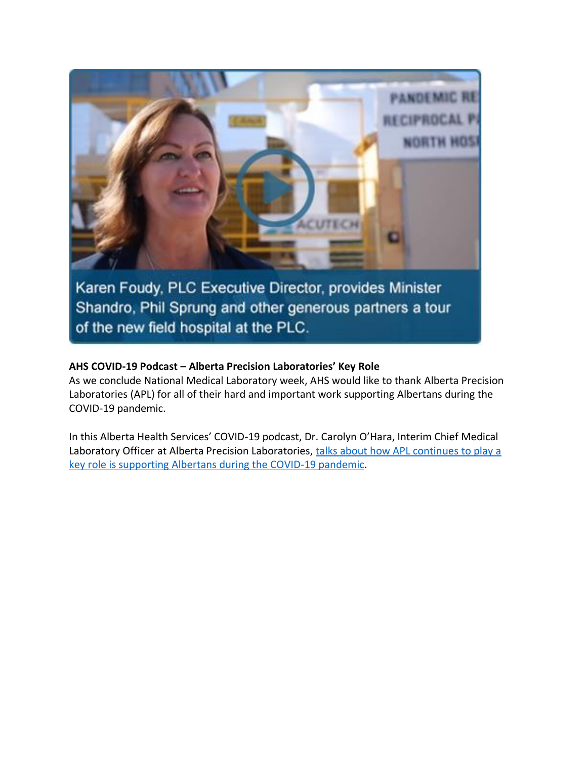

Karen Foudy, PLC Executive Director, provides Minister Shandro, Phil Sprung and other generous partners a tour of the new field hospital at the PLC.

## **AHS COVID-19 Podcast – Alberta Precision Laboratories' Key Role**

As we conclude National Medical Laboratory week, AHS would like to thank Alberta Precision Laboratories (APL) for all of their hard and important work supporting Albertans during the COVID-19 pandemic.

In this Alberta Health Services' COVID-19 podcast, Dr. Carolyn O'Hara, Interim Chief Medical Laboratory Officer at Alberta Precision Laboratories, [talks about how APL continues to play a](https://www.albertahealthservices.ca/topics/Page17112.aspx)  [key role is supporting Albertans during the COVID-19 pandemic.](https://www.albertahealthservices.ca/topics/Page17112.aspx)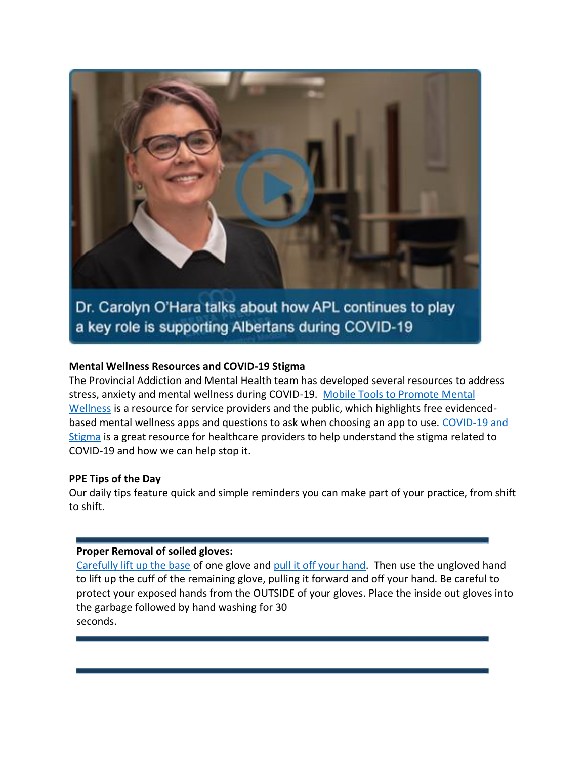

### **Mental Wellness Resources and COVID-19 Stigma**

The Provincial Addiction and Mental Health team has developed several resources to address stress, anxiety and mental wellness during COVID-19. [Mobile Tools to Promote Mental](https://www.albertahealthservices.ca/assets/info/ppih/if-ppih-covid-19-mobile-tools-mental-wellness.pdf)  [Wellness](https://www.albertahealthservices.ca/assets/info/ppih/if-ppih-covid-19-mobile-tools-mental-wellness.pdf) is a resource for service providers and the public, which highlights free evidencedbased mental wellness apps and questions to ask when choosing an app to use. [COVID-19 and](https://www.albertahealthservices.ca/assets/info/ppih/if-ppih-covid-19-covid-and-stigma.pdf)  [Stigma](https://www.albertahealthservices.ca/assets/info/ppih/if-ppih-covid-19-covid-and-stigma.pdf) is a great resource for healthcare providers to help understand the stigma related to COVID-19 and how we can help stop it.

### **PPE Tips of the Day**

Our daily tips feature quick and simple reminders you can make part of your practice, from shift to shift.

### **Proper Removal of soiled gloves:**

[Carefully lift up the base](https://ahamms01.https.internapcdn.net/ahamms01/Content/AHS_Website/Information_For/if-hp-ipc-donning-and-doffing.mp4) of one glove and [pull it off your hand.](https://www.albertahealthservices.ca/assets/Infofor/hp/if-hp-ipc-doffing-ppe-poster.pdf) Then use the ungloved hand to lift up the cuff of the remaining glove, pulling it forward and off your hand. Be careful to protect your exposed hands from the OUTSIDE of your gloves. Place the inside out gloves into the garbage followed by hand washing for 30 seconds.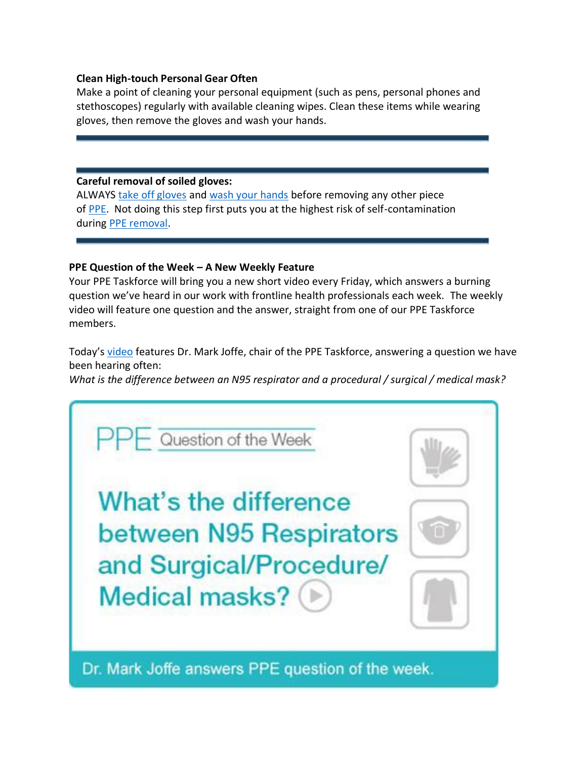### **Clean High-touch Personal Gear Often**

Make a point of cleaning your personal equipment (such as pens, personal phones and stethoscopes) regularly with available cleaning wipes. Clean these items while wearing gloves, then remove the gloves and wash your hands.

### **Careful removal of soiled gloves:**

ALWAYS [take off gloves](https://www.albertahealthservices.ca/assets/healthinfo/ipc/hi-ipc-glove-fact-sheet-cc.pdf) and [wash your hands](https://www.albertahealthservices.ca/assets/healthinfo/ipc/if-hp-ipc-flu-handwash-how-to.pdf) before removing any other piece of [PPE.](https://www.albertahealthservices.ca/assets/healthinfo/ipc/hi-ipc-chklst-contact-droplet-precautions.pdf) Not doing this step first puts you at the highest risk of self-contamination during [PPE removal.](https://www.albertahealthservices.ca/assets/Infofor/hp/if-hp-ipc-doffing-ppe-poster.pdf)

## **PPE Question of the Week – A New Weekly Feature**

Your PPE Taskforce will bring you a new short video every Friday, which answers a burning question we've heard in our work with frontline health professionals each week. The weekly video will feature one question and the answer, straight from one of our PPE Taskforce members.

Today's [video](https://www.albertahealthservices.ca/topics/Page17111.aspx) features Dr. Mark Joffe, chair of the PPE Taskforce, answering a question we have been hearing often:

*What is the difference between an N95 respirator and a procedural / surgical / medical mask?*

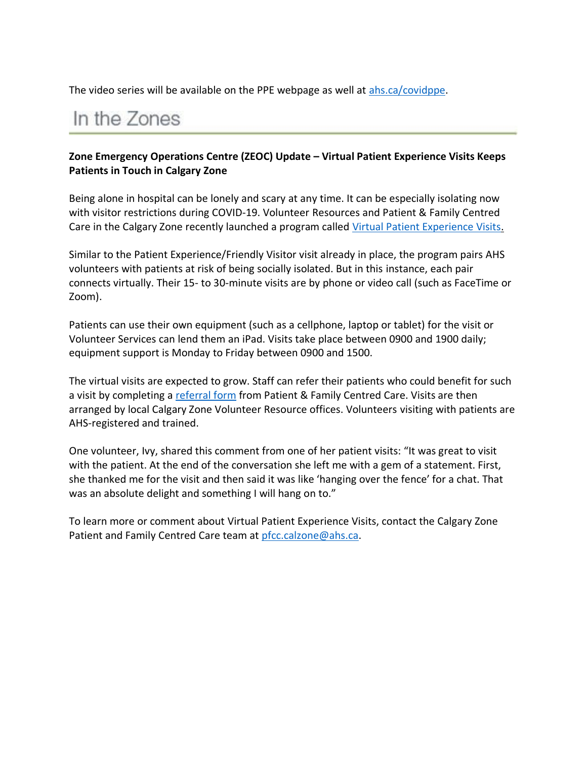The video series will be available on the PPE webpage as well at [ahs.ca/covidppe.](http://www.ahs.ca/covidppe)

## In the Zones

## **Zone Emergency Operations Centre (ZEOC) Update – Virtual Patient Experience Visits Keeps Patients in Touch in Calgary Zone**

Being alone in hospital can be lonely and scary at any time. It can be especially isolating now with visitor restrictions during COVID-19. Volunteer Resources and Patient & Family Centred Care in the Calgary Zone recently launched a program called [Virtual Patient Experience Visits.](https://insite.albertahealthservices.ca/main/assets/tms/iqmc/tms-iqmc-pfcc-memo-virtual-patient-experience-visits-2020-04.pdf)

Similar to the Patient Experience/Friendly Visitor visit already in place, the program pairs AHS volunteers with patients at risk of being socially isolated. But in this instance, each pair connects virtually. Their 15- to 30-minute visits are by phone or video call (such as FaceTime or Zoom).

Patients can use their own equipment (such as a cellphone, laptop or tablet) for the visit or Volunteer Services can lend them an iPad. Visits take place between 0900 and 1900 daily; equipment support is Monday to Friday between 0900 and 1500.

The virtual visits are expected to grow. Staff can refer their patients who could benefit for such a visit by completing a [referral form](https://insite.albertahealthservices.ca/main/assets/tms/iqmc/tms-iqmc-pfcc-form-referral-virtual-friendly-visitor.pdf) from Patient & Family Centred Care. Visits are then arranged by local Calgary Zone Volunteer Resource offices. Volunteers visiting with patients are AHS-registered and trained.

One volunteer, Ivy, shared this comment from one of her patient visits: "It was great to visit with the patient. At the end of the conversation she left me with a gem of a statement. First, she thanked me for the visit and then said it was like 'hanging over the fence' for a chat. That was an absolute delight and something I will hang on to."

To learn more or comment about Virtual Patient Experience Visits, contact the Calgary Zone Patient and Family Centred Care team at [pfcc.calzone@ahs.ca.](mailto:pfcc.calzone@ahs.ca)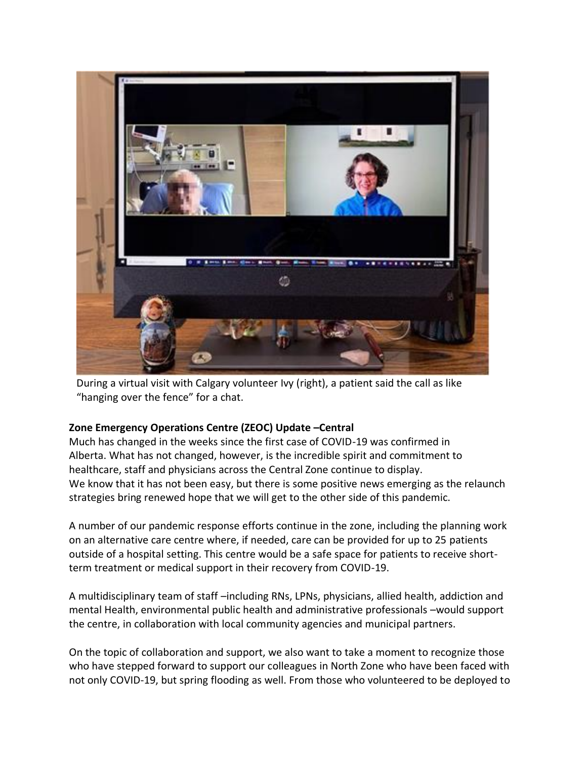![](_page_8_Picture_0.jpeg)

During a virtual visit with Calgary volunteer Ivy (right), a patient said the call as like "hanging over the fence" for a chat.

## **Zone Emergency Operations Centre (ZEOC) Update –Central**

Much has changed in the weeks since the first case of COVID-19 was confirmed in Alberta. What has not changed, however, is the incredible spirit and commitment to healthcare, staff and physicians across the Central Zone continue to display. We know that it has not been easy, but there is some positive news emerging as the relaunch strategies bring renewed hope that we will get to the other side of this pandemic.

A number of our pandemic response efforts continue in the zone, including the planning work on an alternative care centre where, if needed, care can be provided for up to 25 patients outside of a hospital setting. This centre would be a safe space for patients to receive shortterm treatment or medical support in their recovery from COVID-19.

A multidisciplinary team of staff –including RNs, LPNs, physicians, allied health, addiction and mental Health, environmental public health and administrative professionals –would support the centre, in collaboration with local community agencies and municipal partners.

On the topic of collaboration and support, we also want to take a moment to recognize those who have stepped forward to support our colleagues in North Zone who have been faced with not only COVID-19, but spring flooding as well. From those who volunteered to be deployed to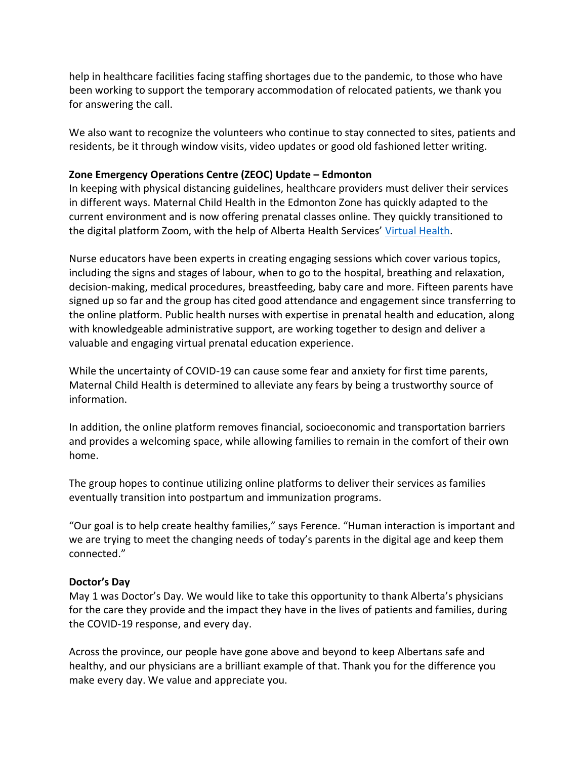help in healthcare facilities facing staffing shortages due to the pandemic, to those who have been working to support the temporary accommodation of relocated patients, we thank you for answering the call.

We also want to recognize the volunteers who continue to stay connected to sites, patients and residents, be it through window visits, video updates or good old fashioned letter writing.

## **Zone Emergency Operations Centre (ZEOC) Update – Edmonton**

In keeping with physical distancing guidelines, healthcare providers must deliver their services in different ways. Maternal Child Health in the Edmonton Zone has quickly adapted to the current environment and is now offering prenatal classes online. They quickly transitioned to the digital platform Zoom, with the help of Alberta Health Services' [Virtual Health.](https://insite.albertahealthservices.ca/it/Page1119.aspx)

Nurse educators have been experts in creating engaging sessions which cover various topics, including the signs and stages of labour, when to go to the hospital, breathing and relaxation, decision-making, medical procedures, breastfeeding, baby care and more. Fifteen parents have signed up so far and the group has cited good attendance and engagement since transferring to the online platform. Public health nurses with expertise in prenatal health and education, along with knowledgeable administrative support, are working together to design and deliver a valuable and engaging virtual prenatal education experience.

While the uncertainty of COVID-19 can cause some fear and anxiety for first time parents, Maternal Child Health is determined to alleviate any fears by being a trustworthy source of information.

In addition, the online platform removes financial, socioeconomic and transportation barriers and provides a welcoming space, while allowing families to remain in the comfort of their own home.

The group hopes to continue utilizing online platforms to deliver their services as families eventually transition into postpartum and immunization programs.

"Our goal is to help create healthy families," says Ference. "Human interaction is important and we are trying to meet the changing needs of today's parents in the digital age and keep them connected."

### **Doctor's Day**

May 1 was Doctor's Day. We would like to take this opportunity to thank Alberta's physicians for the care they provide and the impact they have in the lives of patients and families, during the COVID-19 response, and every day.

Across the province, our people have gone above and beyond to keep Albertans safe and healthy, and our physicians are a brilliant example of that. Thank you for the difference you make every day. We value and appreciate you.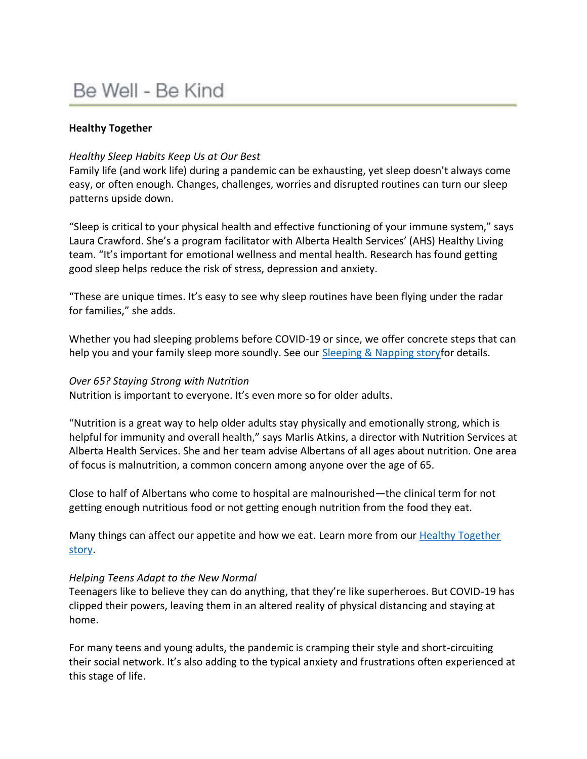## Be Well - Be Kind

### **Healthy Together**

### *Healthy Sleep Habits Keep Us at Our Best*

Family life (and work life) during a pandemic can be exhausting, yet sleep doesn't always come easy, or often enough. Changes, challenges, worries and disrupted routines can turn our sleep patterns upside down.

"Sleep is critical to your physical health and effective functioning of your immune system," says Laura Crawford. She's a program facilitator with Alberta Health Services' (AHS) Healthy Living team. "It's important for emotional wellness and mental health. Research has found getting good sleep helps reduce the risk of stress, depression and anxiety.

"These are unique times. It's easy to see why sleep routines have been flying under the radar for families," she adds.

Whether you had sleeping problems before COVID-19 or since, we offer concrete steps that can help you and your family sleep more soundly. See our [Sleeping & Napping storyf](https://www.albertahealthservices.ca/news/features/2020/Page15475.aspx)or details.

#### *Over 65? Staying Strong with Nutrition*

Nutrition is important to everyone. It's even more so for older adults.

"Nutrition is a great way to help older adults stay physically and emotionally strong, which is helpful for immunity and overall health," says Marlis Atkins, a director with Nutrition Services at Alberta Health Services. She and her team advise Albertans of all ages about nutrition. One area of focus is malnutrition, a common concern among anyone over the age of 65.

Close to half of Albertans who come to hospital are malnourished—the clinical term for not getting enough nutritious food or not getting enough nutrition from the food they eat.

Many things can affect our appetite and how we eat. Learn more from our [Healthy Together](https://www.albertahealthservices.ca/news/features/2020/Page15478.aspx)  [story.](https://www.albertahealthservices.ca/news/features/2020/Page15478.aspx)

### *Helping Teens Adapt to the New Normal*

Teenagers like to believe they can do anything, that they're like superheroes. But COVID-19 has clipped their powers, leaving them in an altered reality of physical distancing and staying at home.

For many teens and young adults, the pandemic is cramping their style and short-circuiting their social network. It's also adding to the typical anxiety and frustrations often experienced at this stage of life.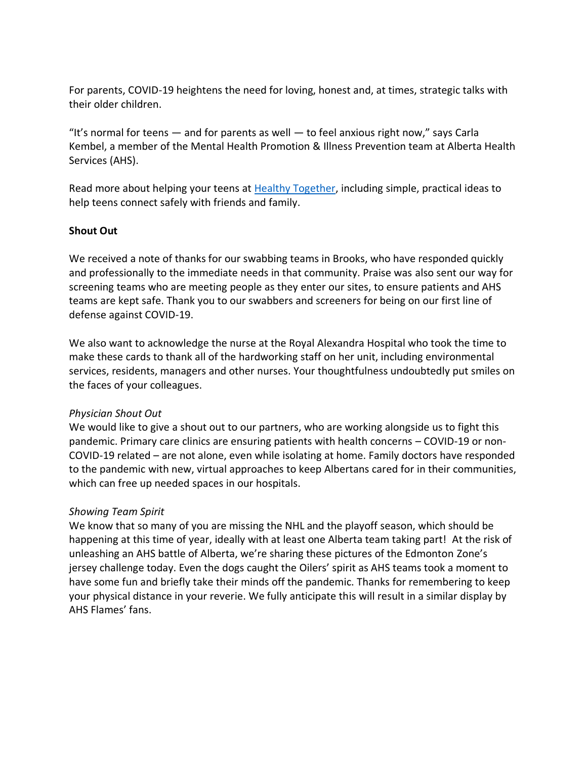For parents, COVID-19 heightens the need for loving, honest and, at times, strategic talks with their older children.

"It's normal for teens  $-$  and for parents as well  $-$  to feel anxious right now," says Carla Kembel, a member of the Mental Health Promotion & Illness Prevention team at Alberta Health Services (AHS).

Read more about helping your teens at [Healthy Together,](https://www.albertahealthservices.ca/news/features/2020/Page15476.aspx) including simple, practical ideas to help teens connect safely with friends and family.

## **Shout Out**

We received a note of thanks for our swabbing teams in Brooks, who have responded quickly and professionally to the immediate needs in that community. Praise was also sent our way for screening teams who are meeting people as they enter our sites, to ensure patients and AHS teams are kept safe. Thank you to our swabbers and screeners for being on our first line of defense against COVID-19.

We also want to acknowledge the nurse at the Royal Alexandra Hospital who took the time to make these cards to thank all of the hardworking staff on her unit, including environmental services, residents, managers and other nurses. Your thoughtfulness undoubtedly put smiles on the faces of your colleagues.

## *Physician Shout Out*

We would like to give a shout out to our partners, who are working alongside us to fight this pandemic. Primary care clinics are ensuring patients with health concerns – COVID-19 or non-COVID-19 related – are not alone, even while isolating at home. Family doctors have responded to the pandemic with new, virtual approaches to keep Albertans cared for in their communities, which can free up needed spaces in our hospitals.

## *Showing Team Spirit*

We know that so many of you are missing the NHL and the playoff season, which should be happening at this time of year, ideally with at least one Alberta team taking part! At the risk of unleashing an AHS battle of Alberta, we're sharing these pictures of the Edmonton Zone's jersey challenge today. Even the dogs caught the Oilers' spirit as AHS teams took a moment to have some fun and briefly take their minds off the pandemic. Thanks for remembering to keep your physical distance in your reverie. We fully anticipate this will result in a similar display by AHS Flames' fans.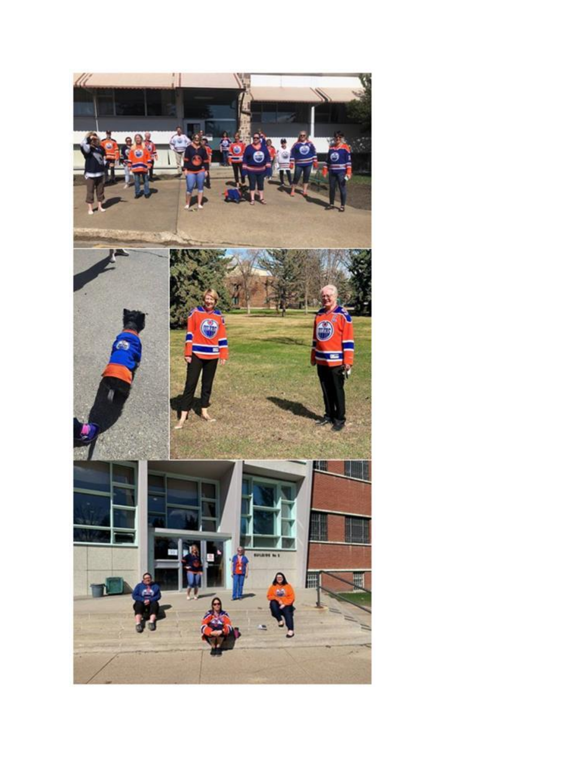![](_page_12_Picture_0.jpeg)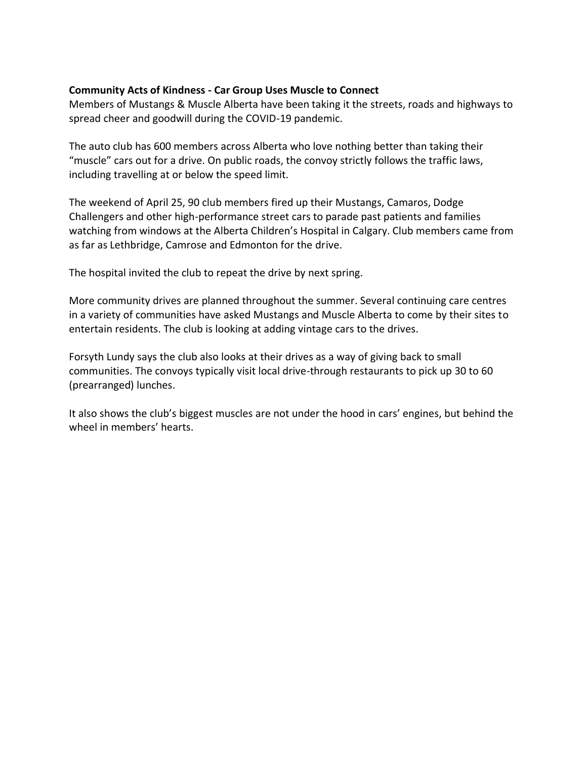### **Community Acts of Kindness - Car Group Uses Muscle to Connect**

Members of Mustangs & Muscle Alberta have been taking it the streets, roads and highways to spread cheer and goodwill during the COVID-19 pandemic.

The auto club has 600 members across Alberta who love nothing better than taking their "muscle" cars out for a drive. On public roads, the convoy strictly follows the traffic laws, including travelling at or below the speed limit.

The weekend of April 25, 90 club members fired up their Mustangs, Camaros, Dodge Challengers and other high-performance street cars to parade past patients and families watching from windows at the Alberta Children's Hospital in Calgary. Club members came from as far as Lethbridge, Camrose and Edmonton for the drive.

The hospital invited the club to repeat the drive by next spring.

More community drives are planned throughout the summer. Several continuing care centres in a variety of communities have asked Mustangs and Muscle Alberta to come by their sites to entertain residents. The club is looking at adding vintage cars to the drives.

Forsyth Lundy says the club also looks at their drives as a way of giving back to small communities. The convoys typically visit local drive-through restaurants to pick up 30 to 60 (prearranged) lunches.

It also shows the club's biggest muscles are not under the hood in cars' engines, but behind the wheel in members' hearts.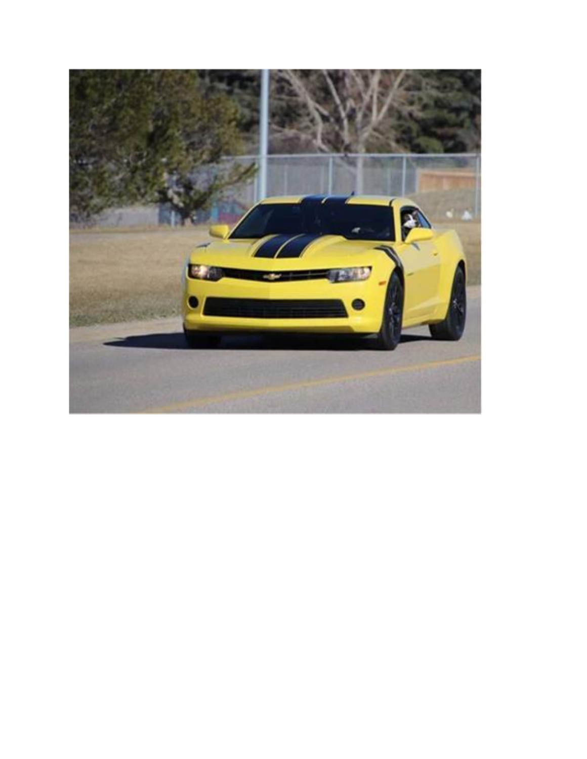![](_page_14_Picture_0.jpeg)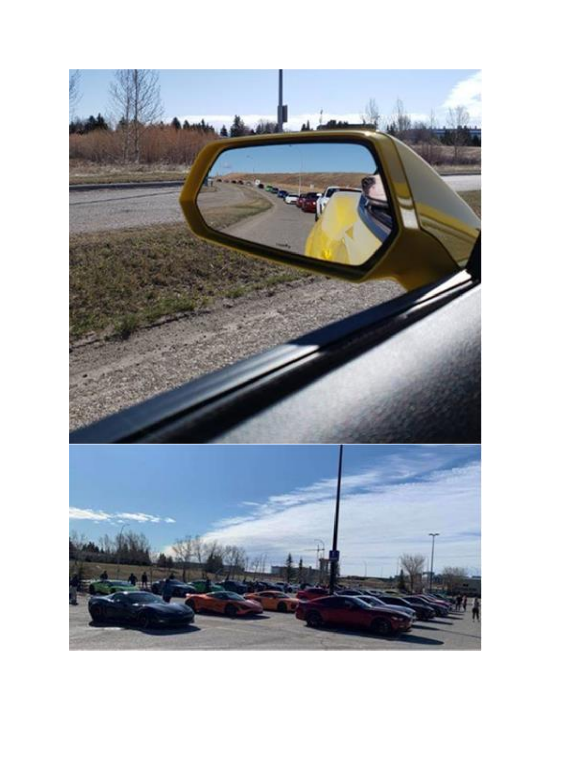![](_page_15_Picture_0.jpeg)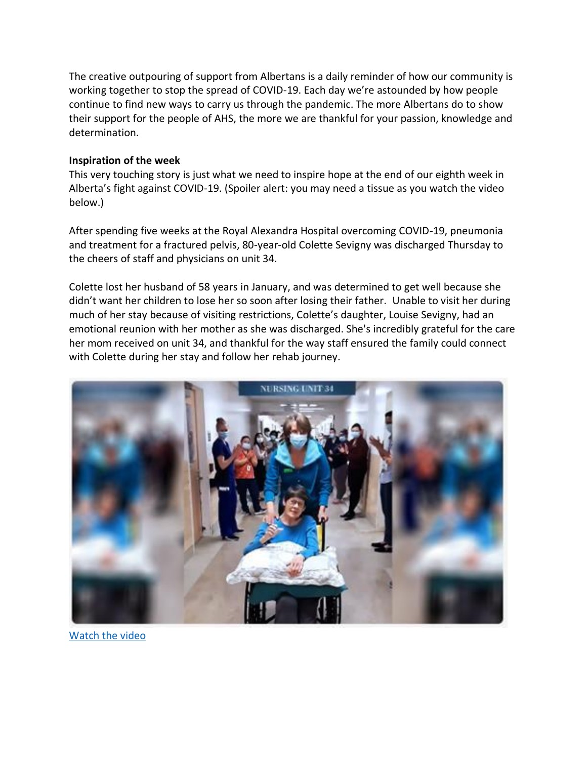The creative outpouring of support from Albertans is a daily reminder of how our community is working together to stop the spread of COVID-19. Each day we're astounded by how people continue to find new ways to carry us through the pandemic. The more Albertans do to show their support for the people of AHS, the more we are thankful for your passion, knowledge and determination.

### **Inspiration of the week**

This very touching story is just what we need to inspire hope at the end of our eighth week in Alberta's fight against COVID-19. (Spoiler alert: you may need a tissue as you watch the video below.)

After spending five weeks at the Royal Alexandra Hospital overcoming COVID-19, pneumonia and treatment for a fractured pelvis, 80-year-old Colette Sevigny was discharged Thursday to the cheers of staff and physicians on unit 34.

Colette lost her husband of 58 years in January, and was determined to get well because she didn't want her children to lose her so soon after losing their father. Unable to visit her during much of her stay because of visiting restrictions, Colette's daughter, Louise Sevigny, had an emotional reunion with her mother as she was discharged. She's incredibly grateful for the care her mom received on unit 34, and thankful for the way staff ensured the family could connect with Colette during her stay and follow her rehab journey.

![](_page_16_Picture_5.jpeg)

[Watch the video](https://www.albertahealthservices.ca/news/Page15480.aspx)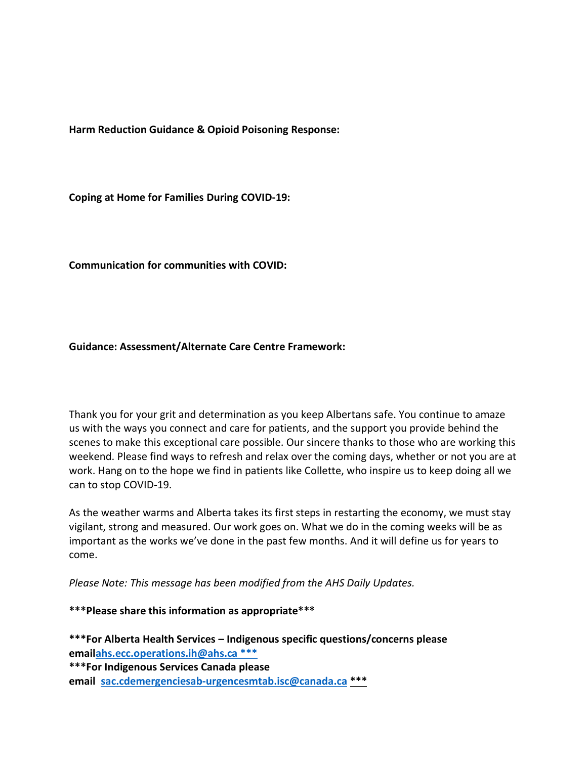**Harm Reduction Guidance & Opioid Poisoning Response:**

**Coping at Home for Families During COVID-19:**

**Communication for communities with COVID:**

### **Guidance: Assessment/Alternate Care Centre Framework:**

Thank you for your grit and determination as you keep Albertans safe. You continue to amaze us with the ways you connect and care for patients, and the support you provide behind the scenes to make this exceptional care possible. Our sincere thanks to those who are working this weekend. Please find ways to refresh and relax over the coming days, whether or not you are at work. Hang on to the hope we find in patients like Collette, who inspire us to keep doing all we can to stop COVID-19.

As the weather warms and Alberta takes its first steps in restarting the economy, we must stay vigilant, strong and measured. Our work goes on. What we do in the coming weeks will be as important as the works we've done in the past few months. And it will define us for years to come.

*Please Note: This message has been modified from the AHS Daily Updates.*

**\*\*\*Please share this information as appropriate\*\*\***

**\*\*\*For Alberta Health Services – Indigenous specific questions/concerns please emai[lahs.ecc.operations.ih@ahs.ca \\*\\*\\*](mailto:ahs.ecc.operations.ih@ahs.ca%20***) \*\*\*For Indigenous Services Canada please email [sac.cdemergenciesab-urgencesmtab.isc@canada.ca](mailto:sac.cdemergenciesab-urgencesmtab.isc@canada.ca) \*\*\***